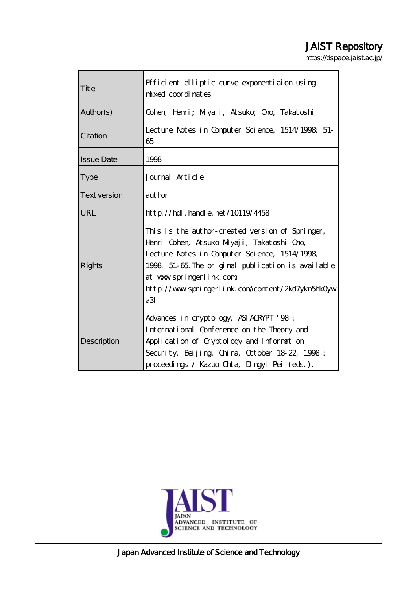# JAIST Repository

https://dspace.jaist.ac.jp/

| Title               | Efficient elliptic curve exponentiaion using<br>mixed coordinates                                                                                                                                                                                                                          |
|---------------------|--------------------------------------------------------------------------------------------------------------------------------------------------------------------------------------------------------------------------------------------------------------------------------------------|
| Author(s)           | Cohen, Henri; Miyaji, Atsuko; Ono, Takatoshi                                                                                                                                                                                                                                               |
| Citation            | Lecture Notes in Computer Science, 1514/1998: 51-<br>65                                                                                                                                                                                                                                    |
| <b>Issue Date</b>   | 1998                                                                                                                                                                                                                                                                                       |
| <b>Type</b>         | Journal Article                                                                                                                                                                                                                                                                            |
| <b>Text version</b> | author                                                                                                                                                                                                                                                                                     |
| URL                 | $http$ // $rdl$ . handle. net/10119/4458                                                                                                                                                                                                                                                   |
| <b>Rights</b>       | This is the author-created version of Springer,<br>Henri Cohen, Atsuko Miyaji, Takatoshi Ono,<br>Lecture Notes in Computer Science, 1514/1998,<br>1998, 51-65. The original publication is available<br>at www.springerlink.com<br>http://www.springerlink.com/content/2kd7ykn5hk0yw<br>aЗ |
| Description         | Advances in cryptology, ASIACRYPT '98:<br>International Conference on the Theory and<br>Application of Cryptology and Information<br>Security, Beijing, China, October 18 22, 1998:<br>proceedings / Kazuo Orta, Dingyi Pei (eds.).                                                        |



Japan Advanced Institute of Science and Technology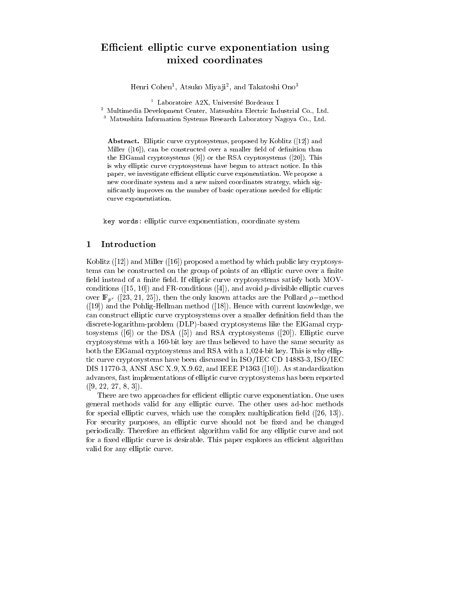## e-cient elliptic curve exponentiation using the contract of the contract of the contract of the contract of th mixed coordinates coordinates and containing the coordinate of the coordinate of the coordinate of the coordinate of the coordinate of the coordinate of the coordinate of the coordinate of the coordinate of the coordinate

Henri Cohen - Atsuko Miya ji- - and Takatoshi Ono

- Laboratoire A2A, Universite Bordeaux I

- Multimedia Development Center, Matsushita Electric Industrial Co., Ltd.

 $\,$  - Matsushita Information Systems Research Laboratory Nagoya Co., Ltd.  $\,$ 

abstraction complete change of  $\{p\}$  , which is proposed by Koblitz  $\{p\}$  and  $\{p\}$ . And a smaller  $\mathcal{C}^{\text{max}}$  and a smaller over a smaller over a smaller of decomposition than  $\mathcal{C}^{\text{max}}$  $\mathcal{L}$  . This can construct the RSA cryptosystems of the RSA cryptosystems  $\mathcal{L}$  . This can construct the RSA cryptosystems of the RSA cryptosystems of the RSA cryptosystems of the RSA cryptosystems of the RSA crypto is why elliptic curve cryptosystems have begun to attract notice In this paper, we investigate efficient elliptic curve exponentiation. We propose a new coordinate system and a new mixed coordinates strategy, which signicantly improves on the number of basic operations needed for elliptic curve exponentiation

key words- elliptic curve exponentiation- coordinate system

#### $\mathbf{1}$ Introduction

Koblitz  $(12)$  and Miller  $(16)$  proposed a method by which public key cryptosystems can be constructed on the group of points of an elliptic curve over a finite field instead of a finite field. If elliptic curve cryptosystems satisfy both MOVconditions - and avoid problems - and avoid problems - and avoid problems - and avoid problems - and avoid pro  $\sigma$  . The only first state  $\sigma$  is the pollar - then the pollar - then the pollar - the pollar - the Pollard - the pollar and the Pohlig Hellman method  Hence with current knowledge- we can construct elliptic curve cryptosystems over a smaller definition field than the discrete logarithm and based cryptosystems like the ElGamal cryptosystems like the ElGamal cryptosystems like t tosystems  $(6)$  or the DSA  $(5)$  and RSA cryptosystems  $(20)$ . Elliptic curve cryptosystems with a reduced to have the same security as the same security as a same security as both the ElGamal cryptosystems and RSA with a -1-c with a -1-c with a -1-c with  $\cdots$  , why electron tic curve cryptosystems have been discussed in ISOIEC CD - ISOIEC  $\mathcal{A}$  and its contract  $\mathcal{A}$  and its contract  $\mathcal{A}$  and  $\mathcal{A}$  and its contract of  $\mathcal{A}$  and  $\mathcal{A}$ advances- fast implementations of elliptic curve cryptosystems has been reported - - - - 

There are two approaches for efficient elliptic curve exponentiation. One uses general methods valid for any elliptic curve the client uses any methods we are used as ... species elliptic curves- which use the complex multiplication electron (press respectively) For security purposes- an elliptic curve should not be xed and be changed periodically. Therefore an efficient algorithm valid for any elliptic curve and not for a fixed elliptic curve is desirable. This paper explores an efficient algorithm valid for any elliptic curve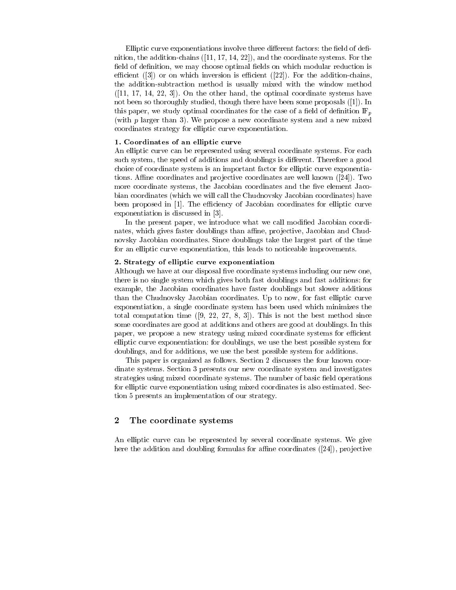Elliptic curve exponentiations involve three different factors: the field of definition- the addition chains - - - - and the coordinate systems For the eld of denition- we may choose optimal elds on which modular reduction is an analyzed on which modular reduction ecient that is a common contract of the chains-in the additional chains-inthe addition method is usually mixed with the window method with the window method with the window method with , and the other hand-distribution and the optimal coordinate systems in the other systems of the other states o not been so though the though the some proposals in the some proposals in the some proposals in the some propos this paper- we study optimal coordinates for the case of a eld of denition IFp (with  $p$  larger than 3). We propose a new coordinate system and a new mixed coordinates strategy for elliptic curve exponentiation

#### - Coordinates of an elliptic curve

An elliptic curve can be represented using several coordinate systems For each such system, was speed of additions and doublings is displayed to doubling a good sections is  $\bigwedge$  and  $\bigwedge$ choice of coordinate system is an important factor for elliptic curve exponentia tions. Affine coordinates and projective coordinates are well known  $(24)$ . Two more coordinate systems- the Jacobian coordinates and the ve element Jaco bian coordinates (which we will call the Chudnovsky Jacobian coordinates) have been proposed in [1]. The efficiency of Jacobian coordinates for elliptic curve exponentiation is discussed in [3].

In the present paper- we introduce what we call modied Jacobian coordi nates- which gives faster doublings than ane- pro jective- Jacobian and Chud novsky Jacobian coordinates Since doublings take the largest part of the time for an elliptic curve exponentiation- this leads to noticeable improvements

#### 2. Strategy of emptic curve exponentiation

Although we have at our disposal five coordinate systems including our new one. there is no single system which gives both fast doublings and fast additions for example- the Jacobian coordinates have faster doublings but slower additions than the Chudnovsky Jacobian coordinates Up to now- for fast elliptic curve exponentiation- a single coordinate system in the which minimizes the system of the second minimizes the coordinate  $\sim$  $\mathbf{u}$  . This is not the best method since the best method since the best method since  $\mathbf{u}$ some coordinates are good at additions and others are good at doublings In this paper- we propose a new strategy using mixed coordinate systems for ecient elliptic curve exponentiation for doublings- we use the best possible system for doublings-best possible systems-best possible systems-best possible system for additions-best possible system for additions-

This paper is organized as follows. Section 2 discusses the four known coordinate systems. Section 3 presents our new coordinate system and investigates strategies using mixed coordinate systems. The number of basic field operations for elliptic curve exponentiation using mixed coordinates is also estimated Sec tion 5 presents an implementation of our strategy.

#### $\bf{2}$ The coordinate systems

An elliptic curve can be represented by several coordinate systems We give here the addition and doubling formulas for ane coordinates - pro jective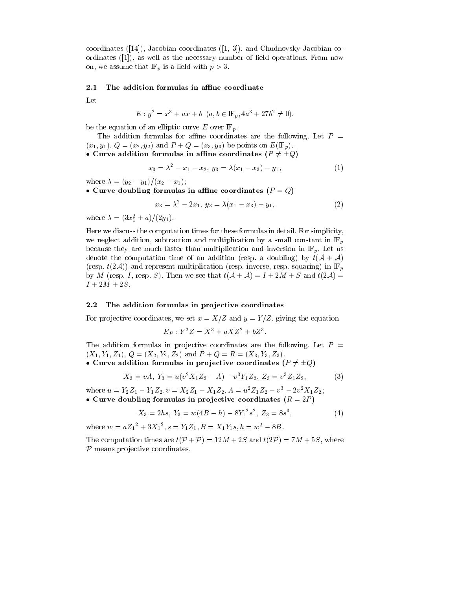coordinates - Jacobian coordinates - Jacobian coordinates - Jacobian coordinates - Jacobian coordinates - Jacobia ordinates - (i.e.) is the necessary number of the control operations in the control operation of the control operations of the control operations of the control operations of the control operations of the control operation  $\sim$  - we assume that IF is a electron with property  $\sim$ 

#### -The addition formulas in affine coordinate

Let

$$
E: y^2 = x^3 + ax + b \ (a, b \in \mathbb{F}_p, 4a^3 + 27b^2 \neq 0).
$$

be the equation of an elliptic curve E over  $\mathbb{F}_p$ .

The addition formulas for affine coordinates are the following. Let  $P =$  $\lambda$  indicates the points of  $\lambda$  on  $\lambda$  is a constant of  $\lambda$  in  $\lambda$  in  $\lambda$  in  $\lambda$ 

• Curve addition formulas in affine coordinates ( $P \neq \pm Q$ )

$$
x_3 = \lambda^2 - x_1 - x_2, \ y_3 = \lambda(x_1 - x_3) - y_1,\tag{1}
$$

where y- yx- x

• Curve doubling formulas in affine coordinates  $(P = Q)$ 

$$
x_3 = \lambda^2 - 2x_1, \ y_3 = \lambda(x_1 - x_3) - y_1,\tag{2}
$$

where  $\lambda = (\partial x_1^2 + a)/(\Delta y_1)$ .

Here we discuss the computation times for these formulas in detail For simplicitywe neglect addition-different induced addition-different in IFP and multiplication by a small constant in IFP and multiplication by a small constant in IFP and multiplication by a small constant in IFP and multiplication because they are much faster than multiplication and inversion in  $\mathbb{F}_p$ . Let us denote the computation time of an addition (resp. a doubling) by  $t(A + A)$ respectively the multiplication and respectively. The contraction in IFP in IFP in IFP in IFP in IFP in IFP in  $\alpha$  , and the space of the second intervals the second  $\alpha$  is the second target target taken the second target  $\alpha$  $I + 2M + 2S$ .

#### $2.2$ The addition formulas in projective coordinates

For pro jective coordinates- we set x XZ and y Y Z- giving the equation

$$
E_P: Y^2 Z = X^3 + a X Z^2 + b Z^3.
$$

The addition formulas in projective coordinates are the following. Let  $P =$ X Y Z- Q X- Y- Z- and P Q R X Y Z

• Curve addition formulas in projective coordinates 
$$
(P \neq \pm Q)
$$

$$
X_3 = vA, Y_3 = u(v^2 X_1 Z_2 - A) - v^3 Y_1 Z_2, Z_3 = v^3 Z_1 Z_2,
$$
 (3)

where  $u = Y_2Z_1 - Y_1Z_2, v = X_2Z_1 - X_1Z_2, A = u^2Z_1Z_2 - v^2 - 2v^2X_1Z_2$ • Curve doubling formulas in projective coordinates  $(R = 2P)$ 

$$
X_3 = 2hs, \ Y_3 = w(4B - h) - 8Y_1^2 s^2, \ Z_3 = 8s^3,
$$
 (4)

where  $w = aZ_1^+ + 3\Lambda_1^-, s = Y_1Z_1, B = X_1Y_1s, n = w^2 - 8B$ .

The computation times are tP P M S and tPM 
S- where  $P$  means projective coordinates.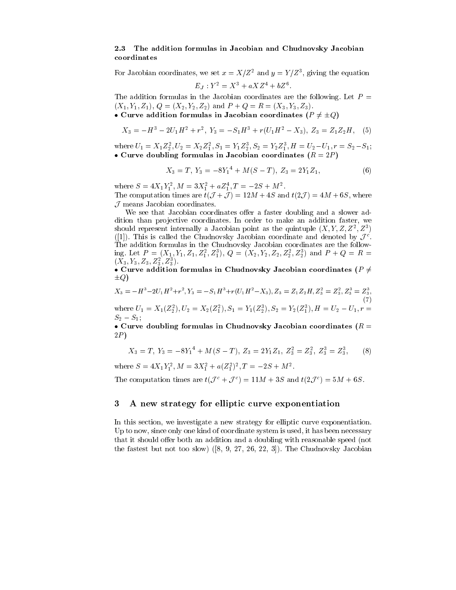### - The addition formulas in Jacobian and Chudnovsky Jacobian coordinates

For Jacobian coordinates, we set  $x = A/Z^-$  and  $y = I/Z^-$ , giving the equation  $LJ$   $I = \Lambda^{-} + u\Lambda L^{+} + vL^{-}$ 

The addition formulas in the Jacobian coordinates are the following. Let  $P =$ X Y Z- Q X- Y- Z- and P Q R X Y Z

• Curve addition formulas in Jacobian coordinates ( $P \neq \pm Q$ )

$$
X_3 = -H^3 - 2U_1H^2 + r^2, \ Y_3 = -S_1H^3 + r(U_1H^2 - X_3), \ Z_3 = Z_1Z_2H, \quad (5)
$$

where  $U_1 = \Lambda_1 \Lambda_2$ ,  $U_2 = \Lambda_2 \Lambda_1$ ,  $S_1 = Y_1 \Lambda_2$ ,  $S_2 = Y_2 \Lambda_1$ ,  $H = U_2 - U_1$ ,  $T = S_2 - S_1$ ; • Curve doubling formulas in Jacobian coordinates  $(R = 2P)$ 

$$
X_3 = T, Y_3 = -8Y_1^4 + M(S - T), Z_3 = 2Y_1Z_1,\tag{6}
$$

where  $S = 4A_1I_1$ ,  $M = 3A_1 + 4Z_1$ ,  $I = -2S + M$ . The computation times are the computation times are the computation times are the state of  $\mathcal{M}$  $J$  means Jacobian coordinates.

We see that Jacobian coordinates offer a faster doubling and a slower addition thanks projective coordinates and that it makes the makes and additional fastershould represent internally a Jacobian point as the quintuple  $(X, Y, Z, Z, Z)$ ([1]). This is called the Chudnovsky Jacobian coordinate and denoted by  $\mathcal{J}^c$ . The addition formulas in the Chudnovsky Jacobian coordinates are the follow ing. Let  $P = (A_1, Y_1, Z_1, Z_1, Z_1)$ ,  $Q = (A_2, Y_2, Z_2, Z_2, Z_2)$  and  $P + Q = R =$  $(A_3, I_3, L_3, L_3, L_3)$  $\mathcal{L}$ 

 $\bullet$  Curve addition formulas in Chudnovsky Jacobian coordinates  $\eta$  +  $\pm Q$ )

$$
X_3 = -H^3 - 2U_1H^2 + r^2, Y_3 = -S_1H^3 + r(U_1H^2 - X_3), Z_3 = Z_1Z_2H, Z_3^2 = Z_3^2, Z_3^3 = Z_3^3,
$$
  
where  $U_1 = X_1(Z_2^2), U_2 = X_2(Z_1^2), S_1 = Y_1(Z_2^3), S_2 = Y_2(Z_1^3), H = U_2 - U_1, r =$  (7)

• Curve doubling formulas in Chudnovsky Jacobian coordinates ( $R =$  $2P)$ 

$$
X_3 = T, Y_3 = -8Y_1^4 + M(S - T), Z_3 = 2Y_1Z_1, Z_3^2 = Z_3^2, Z_3^3 = Z_3^3,
$$
 (8)

where  $S = 4A_1I_1^T$ ,  $M = 3A_1^T + a(Z_1^T)^T$ ,  $I = -2S + M^T$ .

S- S

The computation times are  $t(\mathcal{J}^c + \mathcal{J}^c) = 11M + 3S$  and  $t(2\mathcal{J}^c) = 5M + 6S$ .

#### A new strategy for elliptic curve exponentiation 3

<u>section-this section-</u> we investigate a new strategy for elliptic curve exponentiation-Up to now-ly one kind of coordinate system is used-coordinate system in the system is used-coordinately and the that it should offer both an addition and a doubling with reasonable speed (not  $\mathbf{f}$  and the Chudnovsky Jacobian -  $\mathbf{f}$  and  $\mathbf{f}$  and  $\mathbf{f}$  and  $\mathbf{f}$  and  $\mathbf{f}$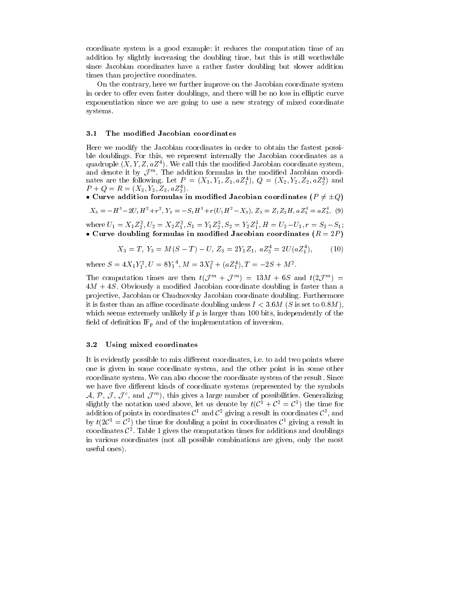coordinate system is a good example: it reduces the computation time of an addition by slightly increasing the doubling time-  $\mathbf{r}_1$  is still word to do the doubling timesince Jacobian coordinates have a rather faster doubling but slower addition times than projective coordinates.

on the contrary- interest in the further we further in the system of the further in the further  $\alpha$ in order to oerer there will be no loss  $\pi$  , will be no loss in the normal curve  $\pi$ exponentiation since we are going to use a new strategy of mixed coordinate systems

#### 3.1 The modified Jacobian coordinates

Here we modify the Jacobian coordinates in order to obtain the fastest possi ble doublings For this- we represent internally the Jacobian coordinates as a quadruple  $(X, Y, Z, uZ^*)$  we can this the modified Jacobian coordinate system, and denote it by  $J$  m. The addition formulas in the modified Jacobian coordinates are the following. Let  $P = (A_1, Y_1, Z_1, aZ_1)$ ,  $Q = (A_2, Y_2, Z_2, aZ_2)$  and  $P + Q = R = (X_3, Y_3, Z_3, aZ_3^4).$  $\mathcal{L}$ 

 $\bullet$  Curve addition formulas in modified Jacobian coordinates  $\mu$   $\neq$   $\pm \omega$   $\mu$ 

$$
X_3 = -H^3 - 2U_1H^2 + r^2, Y_3 = -S_1H^3 + r(U_1H^2 - X_3), Z_3 = Z_1Z_2H, aZ_3^4 = aZ_3^4, (9)
$$

where  $U_1 = \Lambda_1 \Delta_2$ ,  $U_2 = \Lambda_2 \Delta_1$ ,  $S_1 = I_1 \Delta_2$ ,  $S_2 = I_2 \Delta_1$ ,  $H = U_2 - U_1$ ,  $T = S_2 - S_1$ ; • Curve doubling formulas in modified Jacobian coordinates  $(R = 2P)$ 

$$
X_3 = T, Y_3 = M(S - T) - U, Z_3 = 2Y_1Z_1, aZ_3^4 = 2U(aZ_1^4), \quad (10)
$$

where  $S = 4A_1Y_1^T$ ,  $U = 8Y_1$ ,  $M = 3A_1^T + (aZ_1^T)$ ,  $I = -2S + M^T$ .

The computation times are then  $\iota(J + J) = 15M + 0.5$  and  $\iota(Z, J') =$  $4M + 4S$ . Obviously a modified Jacobian coordinate doubling is faster than a pro jective- i chudnovskih strandardnih valoriskih coordinate do ustanju s do ustanovskom coordinate se se se it is faster than an affine coordinate doubling unless  $I \leq 3.6M$  (S is set to 0.8M). which seems extremely if p is larger than it put if p is larger than it put if p is larger than  $\mu$ field of definition  $\mathbb{F}_p$  and of the implementation of inversion.

### Using mixed coordinates

It is evidently possible to mix dierent coordinates- ie to add two points where one is given in some coordinate system- and the other point is in some other coordinate system We can also choose the coordinate system of the result Since we have five different kinds of coordinate systems (represented by the symbols  $A, P, J, J'$ , and  $J'''$ ), this gives a large number of possibilities. Generalizing slightly the notation used above, let us denote by  $\iota(C_+ + C_- = C_-)$  the time for addition of points in coordinates  $C$  and  $C$  -giving a result in coordinates  $C$  , and by  $t(2C^{\dagger} = C^{\dagger})$  the time for doubling a point in coordinates  $C^{\dagger}$  giving a result in coordinates  $\mathcal{C}^-$ . Table 1 gives the computation times for additions and doublings in various coordinates not all possible combinations are given- only the most useful ones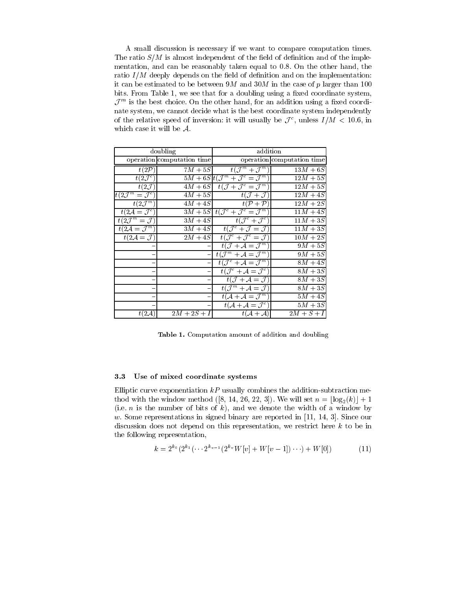A small discussion is necessary if we want to compare computation times The ratio  $S/M$  is almost independent of the field of definition and of the implementation- and can be reasonably taken equal to  On the other hand- the ratio  $I/M$  deeply depends on the field of definition and on the implementation: it can be estimated to be between  $9M$  and  $30M$  in the case of p larger than 100 bits From Table - we see that for a doubling using a xed coordinate system- $J$  m is the best choice. On the other hand, for an addition using a fixed coordinate system- we cannot decide what is the best coordinate system independently of the relative speed of inversion: it will usually be  $J$  , unless  $I/M \le 10.0$ , in which case it will be  $A$ .

| doubling                            |                            | addition                                                        |                            |  |
|-------------------------------------|----------------------------|-----------------------------------------------------------------|----------------------------|--|
|                                     | operation computation time |                                                                 | operation computation time |  |
| t(2P)                               | $7M + 5S$                  | $t(\mathcal{J}^m + \mathcal{J}^m)$                              | $13M + 6S$                 |  |
| $t(2\mathcal{J}^c)$                 |                            | $5M + 6St(\mathcal{J}^m + \mathcal{J}^c = \mathcal{J}^m)$       | $12M + 5S$                 |  |
| $t(2\mathcal{J})$                   |                            | $\overline{4M+6S}$ $t(\mathcal{J}+\mathcal{J}^c=\mathcal{J}^m)$ | $12M + 5S$                 |  |
| $t(2\mathcal{J}^m = \mathcal{J}^c)$ | $4M + 5S$                  | $t(\mathcal{J}+\mathcal{J})$                                    | $12M+4S$                   |  |
| $t(2\mathcal{J}^m)$                 | $4M + 4S$                  | $t(\mathcal{P}+\mathcal{P})$                                    | $12M + 2S$                 |  |
| $t(2\mathcal{A}=\mathcal{J}^c)$     |                            | $3M + 5S$ $t(\mathcal{J}^c + \mathcal{J}^c = \mathcal{J}^m)$    | $11M+4S$                   |  |
| $t(2\mathcal{J}^m=\mathcal{J})$     | $3M+4S$                    | $t({\cal J}^c + {\cal J}^c)$                                    | $11M+3S$                   |  |
| $t(2\mathcal{A}=\mathcal{J}^m)$     |                            | $3M+4S$ $t(\mathcal{J}^c + \mathcal{J} = \mathcal{J})$          | $\overline{11M+3S}$        |  |
| $t(2\mathcal{A}=\mathcal{J})$       | $2M+4S$                    | $t(\mathcal{J}^c + \mathcal{J}^c = \mathcal{J})$                | $10M + 2S$                 |  |
|                                     |                            | $t(\mathcal{J}+\mathcal{A}=\mathcal{J}^m)$                      | $9M+5S$                    |  |
|                                     |                            | $t(\mathcal{J}^m + \mathcal{A} = \overline{\mathcal{J}^m})$     | $9M+5S$                    |  |
|                                     |                            | $t(\mathcal{J}^c + \mathcal{A} = \mathcal{J}^m)$                | $8M+4S$                    |  |
|                                     |                            | $t({\cal J}^c + {\cal A} = {\cal J}^c)$                         | $8M+3S$                    |  |
|                                     |                            | $t(\mathcal{J}+\mathcal{A}=\mathcal{J})$                        | $8M+3S$                    |  |
|                                     |                            | $t(\mathcal{J}^m + \mathcal{A} = \mathcal{J})$                  | $8M+3S$                    |  |
|                                     |                            | $t(\mathcal{A} + \mathcal{A} = \mathcal{J}^m)$                  | $5M+4S$                    |  |
|                                     |                            | $t(\mathcal{A} + \mathcal{A} = \mathcal{J}^c)$                  | $5M+3S$                    |  |
| $t(2\mathcal{A})$                   | $2M + 2S + I$              | $t(A+A)$                                                        | $2M+S+I$                   |  |

Table - Computation and doubling and doubling and doubling and doubling and doubling and doubling and doubling

#### -Use of mixed coordinate systems

Elliptic curve exponentiation kP usually combines the addition subtraction me thod with the window with the will set of the will set it. It is not the will set of the will set of the will s is the contract of the state of  $\alpha$  and we denote the width of a window by  $\alpha$ who some representations in signed binary are reported in just a signed sector and discussion discussion and dispersent on the representation-in this restrict here is to be in the international the following representation,

$$
k = 2^{k_0} (2^{k_1} (\cdots 2^{k_{v-1}} (2^{k_v} W[v] + W[v-1]) \cdots) + W[0])
$$
 (11)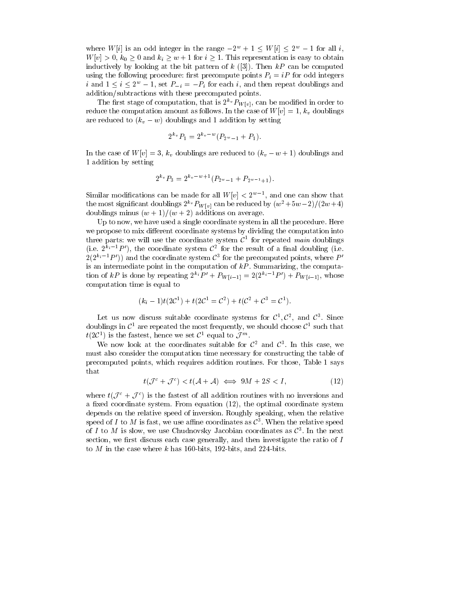where W[i] is an odd integer in the range  $-2^w + 1 \lt W[i] \lt 2^w - 1$  for all i. where  $\mathcal{S}^{\text{max}}$  is the contract of the condition is easy to obtain  $\mathcal{S}^{\text{max}}$  to obtain the condition is easy to obtain the condition of the condition of the condition of the condition of the condition of the con inductively by looking at the bit pattern of  $k$  ([3]). Then  $kP$  can be computed using the following procedure: first precompute points  $P_i = iP$  for odd integers *i* and  $1 \leq i \leq 2$  – 1, set  $P_{-i} = -P_i$  for each *i*, and then repeat doublings and addition/subtractions with these precomputed points.

The first stage of computation, that is 2  $\langle \mathcal{F}_{W[v]} \rangle$ , can be modified in order to reduce the computation amount and case of the case of Wv In the Case of Wv In the Case of World and Case of Wo are reduced to  $(k_v - w)$  doublings and 1 addition by setting

$$
2^{k_v} P_1 = 2^{k_v - w} (P_{2^w - 1} + P_1).
$$

In the case of Wv I and the case of World to keep to king the United to the contract of the complete the contract of the contract of the contract of the contract of the contract of the contract of the contract of the contr addition by setting

$$
2^{k_v} P_3 = 2^{k_v - w + 1} (P_{2^w - 1} + P_{2^{w-1} + 1}).
$$

Similar modifications can be made for all  $W[v] \leq 2$ , and one can show that the most significant doublings  $2^{-\nu} F_{W}[v]$  can be reduced by  $(w^- + 3w - 2)/(2w + 4)$ doublings minus  $(w + 1)/(w + 2)$  additions on average.

Up to now- we have used a single coordinate system in all the procedure Here we propose to mix dierent coordinate systems by dividing the computation into the computation into the computation in three parts: we will use the coordinate system  $C$  for repeated *main* doublings (i.e.  $\mathbb{Z}^+$   $\subset$   $\Gamma$  ), the coordinate system C- for the result of a ninal doubling (i.e.  $2(2 + P)$  and the coordinate system C - for the precomputed points, where  $P$ is an intermediate point in the computation of  $\alpha$  and computation  $\alpha$  and  $\alpha$ tion of  $kT$  is done by repeating  $Z^nT + F_{W[i-1]} = Z(Z^n - T) + F_{W[i-1]}$ , whose computation time is equal to

$$
(k_i - 1)t(2C^1) + t(2C^1 = C^2) + t(C^2 + C^3 = C^1).
$$

Let us now discuss suitable coordinate systems for  $C^*, C^*,$  and  $C^*$  since doublings in  $C^{\ast}$  are repeated the most frequently, we should choose  $C^{\ast}$  such that  $t(2C^+)$  is the fastest, nence we set  $C^-$  equal to  $J^{\prime\prime\prime}$ .

We now look at the coordinates suitable for  $C$  and  $C$ . In this case, we must also consider the computation time necessary for constructing the table of precomputed points- which requires additional requirement of the same of the same of the same of the same of th that

$$
t(\mathcal{J}^c + \mathcal{J}^c) < t(\mathcal{A} + \mathcal{A}) \iff 9M + 2S < I,\tag{12}
$$

where  $t(\mathcal{J}^c + \mathcal{J}^c)$  is the fastest of all addition routines with no inversions and a xed coordinate systems of the optimal coordinate systems of the optimal coordinate systems. depends on the relative speed of inversions in appearing speaking. When the relative speakingspeed of 1 to  $M$  is fast, we use annie coordinates as  $C^+$ . When the relative speed of I to M is slow- we use Chudnovsky Jacobian coordinates as C  In the next section- we rst discuss each case generally- and then investigate the ratio of I to M in the case where the case where k has bits-in-distribution in the case where  $\mathbf{h}$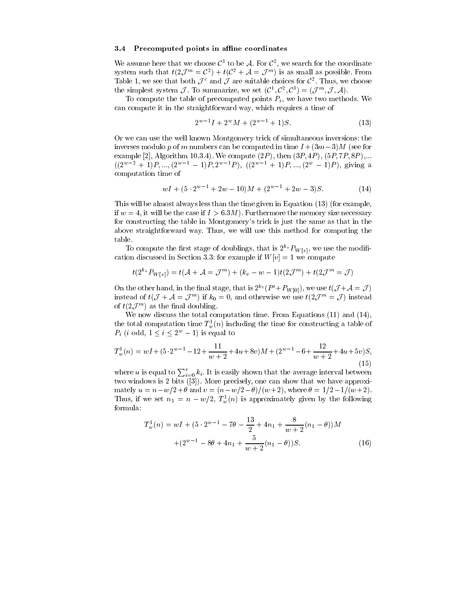#### Precomputed points in affine coordinates

We assume here that we choose  $C^+$  to be  $\mathcal A$ . For  $C^-$ , we search for the coordinate system such that  $t(2\mathcal{J}^{\dots} = C^-) + t(C^- + \mathcal{A} = \mathcal{J}^{\dots})$  is as small as possible. From Table 1, we see that both  $J^{\pm}$  and  $J$  are suitable choices for  $C^{\pm}$ . Thus, we choose the simplest system  $J$ . To summarize, we set  $(C, C, C) = (J, A)$ .

To compute the table of precomputed points Pi - we have two methods We can compute it in the straightforward way-time of time of time of time of time of time of time of time of time

$$
2^{w-1}I + 2^wM + (2^{w-1} + 1)S.
$$
 (13)

Or we can use the well known Montgomery trick of simultaneous inversions the inverses modulo p of m numbers can be computed in time  $I + (3m-3)M$  (see for example in the proposition of the computer (i.e. ), then it is a computer of the second computer  $\mu$  . The compute  $\mu$  $((2^{n} - +1)P, ..., (2^{n} -1)P, 2^{n} - P), ((2^{n} - +1)P, ..., (2^{n} -1)P),$  giving a computation time of

$$
wI + (5 \cdot 2^{w-1} + 2w - 10)M + (2^{w-1} + 2w - 3)S.
$$
 (14)

This will be almost always less than the time given in Equation  $(13)$  (for example, if we have the case if  $\mathcal{N}$  is the memory size necessary size necessary size necessary size necessary size necessary size necessary size  $\mathcal{N}$ for constructing the table in Montgomerys trick is just the same as that in the above straightforward way that we will use this method for computing the computing the computing the computing the computing the computing the computing the computing the computing the computing the computing the computin table

To compute the first stage of doublings, that is  $Z^{\sim} \ell^P W[v]$ , we use the modification discussed in Section 3.3: for example if  $W[v] = 1$  we compute

$$
t(2^{k_v} P_{W[v]}) = t(\mathcal{A} + \mathcal{A} = \mathcal{J}^m) + (k_v - w - 1)t(2\mathcal{J}^m) + t(2\mathcal{J}^m = \mathcal{J})
$$

On the other hand, in the nnal stage, that is  $Z^{\infty}(F + F_{W[0]}),$  we use  $\iota(J + A \equiv J)$ instead of  $\iota(\mathcal{J} + \mathcal{A} = \mathcal{J}^m)$  if  $\kappa_0 = 0$ , and otherwise we use  $\iota(\mathcal{Z} \mathcal{J}^m = \mathcal{J})$  instead of  $t(\mathcal{L} \mathcal{J} \cap \mathcal{J})$  as the ninal doubling.

We now discuss the total computation time. From Equations  $(11)$  and  $(14)$ , the total computation time  $T_w^1(n)$  including the time for constructing a table of  $P_i$  (*i* odd,  $1 \leq i \leq 2$ <sup>-</sup>  $-1$ ) is equal to

$$
T_w^1(n) = wI + (5 \cdot 2^{w-1} - 12 + \frac{11}{w+2} + 4u + 8v)M + (2^{w-1} - 6 + \frac{12}{w+2} + 4u + 5v)S,
$$
\n(15)

where u is equal to  $\sum_{i=0}^{v} k_i$ . It is easily shown that the average interval between  $\mathbf M$  . If any can show the can show that we have approximately experimental  $\mathbf M$ mately u  $\cdots$  , where  $\cdots$  and  $\cdots$  and  $\cdots$  and  $\cdots$  and  $\cdots$  and  $\cdots$  . The  $\cdots$ Thus, if we set  $n_1 = n - w/2$ ,  $I_w(n)$  is approximately given by the following formula

$$
T_w^1(n) = wI + (5 \cdot 2^{w-1} - 7\theta - \frac{13}{2} + 4n_1 + \frac{8}{w+2}(n_1 - \theta))M
$$
  
 
$$
+ (2^{w-1} - 8\theta + 4n_1 + \frac{5}{w+2}(n_1 - \theta))S.
$$
 (16)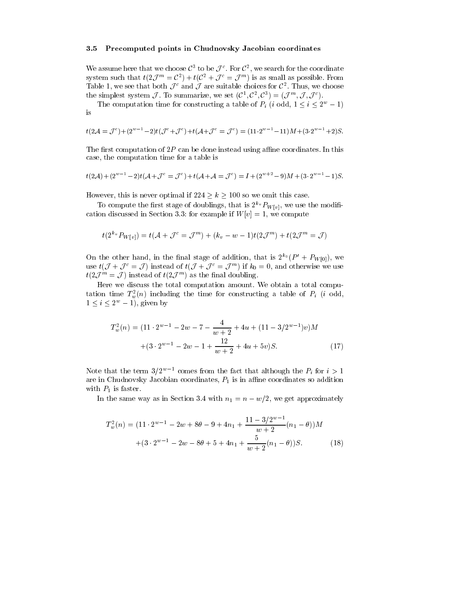#### Precomputed points in Chudnovsky Jacobian coordinates

We assume here that we choose  $C_{\ell}$  to be  $J_{\ell}$  . For  $C_{\ell}$  , we search for the coordinate system such that  $t(Z_t) = C_0 + t(U_t + J_t) = J$  is as small as possible. From Table 1, we see that both  $J^{\pm}$  and  $J$  are suitable choices for  $C^{\pm}$ . Thus, we choose the simplest system  $J$ . To summarize, we set  $(U^*, U^*, U^*) = (J^*, J^*, J^*)$ .

The computation time for constructing a table of  $P_i$  (*i* odd,  $1 \leq i \leq 2^+ - 1$ ) is

$$
t(2\mathcal{A}=\mathcal{J}^c)+(2^{w-1}-2)t(\mathcal{J}^c+\mathcal{J}^c)+t(\mathcal{A}+\mathcal{J}^c=\mathcal{J}^c)=(11\cdot2^{w-1}-11)M+(3\cdot2^{w-1}+2)S.
$$

The first computation of  $2P$  can be done instead using affine coordinates. In this case-in the computation time for a table is the computation of the computation of the computation of the computation of the computation of the computation of the computation of the computation of the computation of the com

$$
t(2\mathcal{A}) + (2^{w-1} - 2)t(\mathcal{A} + \mathcal{J}^c = \mathcal{J}^c) + t(\mathcal{A} + \mathcal{A} = \mathcal{J}^c) = I + (2^{w+2} - 9)M + (3 \cdot 2^{w-1} - 1)S.
$$

However- this is never optimal if <sup>k</sup> so we omit this case

To compute the first stage of doublings, that is  $Z^{n} r_{W[v]}$ , we use the modification discussed in Section 2008, we compute the section of the Section 2008 and the Section 2008 and the Section 2008 and the Section 2008 and the Section 2008 and the Section 2008 and the Section 2008 and the Section 200

$$
t(2^{k_v}P_{W[v]})=t(\mathcal{A}+\mathcal{J}^c=\mathcal{J}^m)+(k_v-w-1)t(2\mathcal{J}^m)+t(2\mathcal{J}^m=\mathcal{J})
$$

On the other hand, in the final stage of addition, that is  $Z^{\infty}(P^* + P_{W[0]})$ , we use  $t(J + J) = J$  instead of  $t(J + J) = J^{(n)}$  if  $\kappa_0 = 0$ , and otherwise we use  $t(\angle J$  = J instead of  $t(\angle J$  j as the final doubling.

Here we discuss the total computation amount We obtain a total compu tation time  $T_w(n)$  including the time for constructing a table of  $P_i$  (*i* odd,  $1 \leq i \leq 2$  - 1), given by

$$
T_w^2(n) = (11 \cdot 2^{w-1} - 2w - 7 - \frac{4}{w+2} + 4u + (11 - 3/2^{w-1})v)M
$$
  
 
$$
+ (3 \cdot 2^{w-1} - 2w - 1 + \frac{12}{w+2} + 4u + 5v)S.
$$
 (17)

Note that the term  $3/2^{w-1}$  comes from the fact that although the  $P_i$  for  $i > 1$ are in Chudnovsky Jacobian coordinates-so additional coordinates-so additional coordinates so additional coordinates so additional coordinates so additional coordinates so additional coordinates so additional coordinates with  $P_1$  is faster.

In the same way as in Section states when  $\alpha_1$  with  $\alpha_2$  in  $\alpha_3$  are specifically well approximately the same  $\alpha_1$ 

$$
T_w^2(n) = (11 \cdot 2^{w-1} - 2w + 8\theta - 9 + 4n_1 + \frac{11 - 3/2^{w-1}}{w+2}(n_1 - \theta))M
$$
  
 
$$
+ (3 \cdot 2^{w-1} - 2w - 8\theta + 5 + 4n_1 + \frac{5}{w+2}(n_1 - \theta))S.
$$
 (18)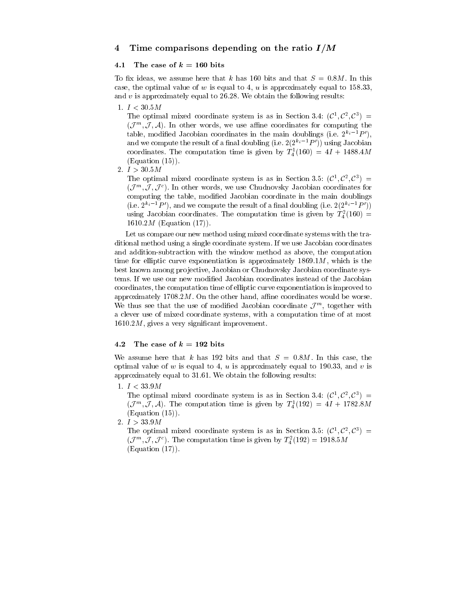### Time comparisons depending on the ratio I-<sup>M</sup>

#### -The case of  $k = 160$  bits

To assume here that k has assume here that k has assume here that is a bit said that  $\mathcal{A}$ case-the optimal value of which is equal to - the optimal to - the optimal to - the optimal to - the optimal t and  $v$  is approximately equal to 26.28. We obtain the following results:

1.  $I < 30.5M$ 

The optimal mixed coordinate system is as in Section 5.4.  $(U^*, U^*) =$  $(J^{\sim}, J, \mathcal{A})$ . In other words, we use alme coordinates for computing the table, modified Jacobian coordinates in the main doublings (i.e.  $Z^{\alpha}$   $\subset$   $P$  ), and we compute the result of a ninal doubling (i.e.  $2(2^{n}e^{-r}P_{\perp})$  using Jacobian coordinates. The computation time is given by  $T_4^{\perp} (100) = 4T + 1488.4M$  $(Equation (15)).$ 

2.  $I > 30.5M$ 

The optimal inixed coordinate system is as in Section 5.5:  $(C^*, C^*, C^*)$   $\equiv$  $(J^{\prime\prime},J,J^{\prime})$ . In other words, we use Chudnovsky Jacobian coordinates for computing the table-partners of the main doubling in the main doctor of the main doublings of the main  $\pi$ (i.e.  $Z^{n} \cap P$  ), and we compute the result of a niial doubling (i.e.  $Z(Z^{n} \cap P$  )) using Jacobian coordinates. The computation time is given by  $T_4^{\tau}(100) =$ 1610.2 $M$  (Equation (17)).

Let us compare our new method using mixed coordinate systems with the tra ditional method using a single coordinate system If we use Jacobian coordinates and addition subtraction with the window method as above- the computation time for elliptic curve the componentiation is suppressed in the component  $\mathcal{A}$ best known among pro jective- Jacobian or Chudnovsky Jacobian coordinate sys tems. If we use our new modified Jacobian coordinates instead of the Jacobian . The computation time of elliptic curve exponentiation is improved that the computation is in the computation in approximately Montered March 1986 (Control March 1996) and control would be worse would be worse. We thus see that the use of modified Jacobian coordinate  $J^{\prime\prime\prime}$ , together with a clever use of mixed coordinate systems- with a computation time of at most M- gives a very signicant improvement

### The case of  $k = 192$  bits

We assume here that k has bits and that is and that S M in this case-bits and that S M in this case-bits and optimal value of which is equal to - in the second to - in the second to - in the second to - in the second to approximately equal to  $31.61$ . We obtain the following results:

1.  $I < 33.9M$ 

The optimal inixed coordinate system is as in Section 5.4.  $(C^*, C^*, C^*) =$  $(J^{\cdots}, J, A)$ . The computation time is given by  $T_4(192) = 41 + 1/82.8M$  $(Equation (15)).$ 

2.  $I > 33.9M$ 

The optimal mixed coordinate system is as in Section 3.5:  $(U^*, U^*) =$  $(J^{\dots}, J, J^{\dots})$ . The computation time is given by  $T_4^{\dots} (192) = 1918.5M$  $(Equation (17)).$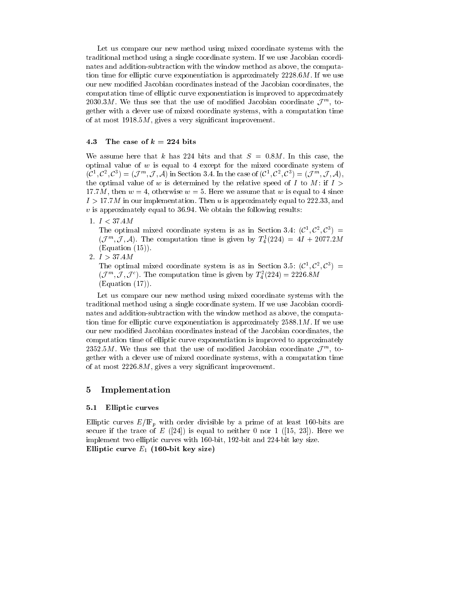Let us compare our new method using mixed coordinate systems with the traditional method using a single coordinate system If we use Jacobian coordi nates and addition subtraction with the window method as above- the computa tion time for elliptic curve exponentiation is approximately  $2228.6M$ . If we use our new modification contracts instead of the Market of the Jacobian coordinates in the Market of the Jacobian computation time of elliptic curve exponentiation is improved to approximately zobolow we thus see that the use of modified Jacobian coordinate  $J^{\mathrm{m}}$ , to- $\mathbf u$  coordinate system of mixed coordinate systems-dimensional experiments  $\mathbf u$ of at most significant improvement improvement improvements.

#### The case of  $k = 224$  bits

which assume here that it has a bit and that the second  $\sim$  . Which the second that  $\sim$ optimal value of  $w$  is equal to 4 except for the mixed coordinate system of  $(C^*,C^*,C^*) \equiv (J^{\alpha *}, J, A)$  in Section 3.4. In the case of  $(C^*,C^*,C^*) \equiv (J^{\alpha *}, J, A)$ , the optimal value of w is determined by the relative speed of I to M: if  $I >$ where we assume that we assume that we assume that we assume that we assume that we assume that we assume that . I a finite can the complete the state of a state in the replacementation of the state of the state of the sta  $v$  is approximately equal to 36.94. We obtain the following results:

1.  $I < 37.4M$ 

The optimal mixed coordinate system is as in Section 5.4.  $(U^*, U^*) =$  $(J^{\cdots}, J, A)$ . The computation time is given by  $T_4(224) = 41 + 2077.2M$  $(Equation (15)).$ 

2.  $I > 37.4M$ 

The optimal mixed coordinate system is as in Section 5.5:  $(C^*, C^*, C^*) =$  $(\mathcal{J}^{\ldots}, \mathcal{J}, \mathcal{J}^{\perp})$ . The computation time is given by  $T_4^{\perp}(224) = 2220.8M$  $(Equation (17)).$ 

Let us compare our new method using mixed coordinate systems with the traditional method using a single coordinate system If we use Jacobian coordi nates and addition subtraction with the window method as above- the computa tion time for elliptic curve exponentiation is approximately  $2588.1 M$ . If we use our new modied Jacobian coordinates instead of the Jacobian coordinates- the computation time of elliptic curve exponentiation is improved to approximately  $2552.5m$ , we thus see that the use of modified Jacobian coordinate  $J^{\prime\prime\prime}$ , to- $\mathbf u$  coordinate system of mixed coordinate systems-dimensional experiments  $\mathbf u$ of at most  $\mathbb{R}^n$  and interesting a very significant improvement in provement in provement in provement in

### 5 Implementation

#### Elliptic curves

Elliptic curves  $\equiv \mu \equiv \mu$  with order divisible by a prime of at least  $\equiv$  at least  $\equiv$ secure is the trace of E (IEF) at the state of interest  $\sigma$  is the sequence of  $\sigma$ implement two energies the curve with and the size with which with the size  $\mu$  minutes with  $\mu$ Einput can ve  $E_1$  (100-bit key size)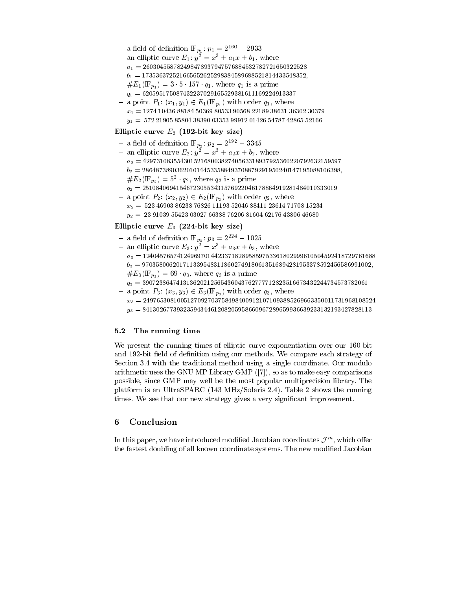- $-$  a neighborhood  $\mathbf{r}_{p_1}: p_1 = 2 2955$
- $-$  an emplic curve  $E_1$ :  $y = x + a_1x + b_1$ , where a -------b -------- $\mu = 1$  ,  $\mu = 1$  ,  $\mu = 0$  ,  $\mu = 0$  ,  $\mu = 0$  ,  $\mu = 0$  ,  $\mu = 0$  ,  $\mu = 0$  ,  $\mu = 0$  ,  $\mu = 0$  ,  $\mu = 0$  ,  $\mu = 0$  ,  $\mu = 0$  ,  $\mu = 0$  ,  $\mu = 0$  ,  $\mu = 0$  ,  $\mu = 0$  ,  $\mu = 0$  ,  $\mu = 0$  ,  $\mu = 0$  ,  $\mu = 0$  ,  $\mu = 0$  ,
- q ------ a point P  $_1$  (  $_2$  )  $_3$  (  $_1$  )  $_2$   $_3$  (  $_4$  )  $_5$  )  $_7$  (  $_7$  )  $_8$  )  $_9$  (  $_9$  (  $_9$  )  $_9$  (  $_9$  (  $_9$  )  $_9$  (  $_9$  (  $_9$  )  $_9$  (  $_9$  (  $_9$  ) (  $_9$  (  $_9$  (  $_9$  ) (  $_9$  (  $_9$  (  $_9$  (  $_9$  ( x - 

-- 
-

### Einpute curve  $E_2$  (192-bit key size)

- $-$  a neig of denition If  $_{p_2}$ :  $p_2 = 2^{--} 3343$
- $-$  an emplic curve  $E_2$ :  $y^- = x^- + a_2x + b_2$ , where  $\frac{d}{dt}$ b- ---- - $\#E_2(\mathbf{r}_{p_2}) = \mathfrak{d}^-(q_2)$ , where  $q_2$  is a prime q- -----

y - - 

- 
- - -

 $x_1 + y_2 + z_1 = x_2 + y_2 + z_1 + z_2 + z_1 + z_2$ x- - 
 - - - - 
 y- - 
 - 

- - 
 - 

### Einput curve  $E_3$  (224-bit key size)

- $-$  a neighborhood **IF**  $_{p_3}$ :  $p_3 = 2^{--} 1025$
- $-$  an emplic curve  $E_3$ :  $y_1 = x_1 + u_3x + v_3$ , where a ------ b 

------ $\mu = 5$  (=  $\mu$ 3)  $\mu$  s a prime q is a prime q is a prime q is a prime q is a prime q is a prime q is a prime q is a prime  $\mu$
- q 
--------- and provide  $\alpha$  ,  $\alpha$  and  $\beta$  and  $\alpha$  is  $\beta$  and  $\beta$  and  $\beta$  and  $\beta$  and  $\beta$  and  $\beta$  and  $\beta$  and  $\beta$  and  $\beta$  and  $\beta$  and  $\beta$  and  $\beta$  and  $\beta$  and  $\beta$  and  $\beta$  and  $\beta$  and  $\beta$  and  $\beta$  and  $\beta$  and  $\beta$   $\mathbf{v}$ 
	- y 
	---------

#### -The running time

We present the running times of elliptic curve exponentiation over our bit and the strategy of density  $\alpha$  and  $\alpha$  are methods with the strategy of the strategy of  $\alpha$ Section 3.4 with the traditional method using a single coordinate. Our modulo arithmetic uses the GNU MP Library GMP - so as to make  $\mu$  as to make  $\mu$  as to make easy comparisons of  $\mu$ possible-the-compact compact the most popular multiple-compact most popular multiple-compact the most compact of platform is an UltraSPARC  $(143 \text{ MHz/Solaris } 2.4)$ . Table 2 shows the running times. We see that our new strategy gives a very significant improvement.

### Conclusion

In this paper, we have introduced modified Jacobian coordinates  $J^{\pi\pi}$ , which offer the fastest doubling of all known coordinate systems. The new modified Jacobian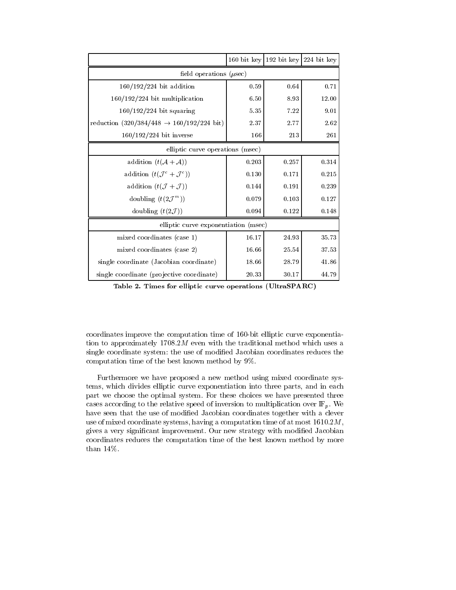|                                                               |       | 160 bit key   192 bit key   224 bit key |           |  |  |  |
|---------------------------------------------------------------|-------|-----------------------------------------|-----------|--|--|--|
| field operations ( $\mu$ sec)                                 |       |                                         |           |  |  |  |
| $160/192/224$ bit addition                                    | 0.59  | 0.64                                    | 0.71      |  |  |  |
| $160/192/224$ bit multiplication                              | 6.50  | 8.93                                    | 12.00     |  |  |  |
| $160/192/224$ bit squaring                                    | 5.35  | 7.22                                    | 9.01      |  |  |  |
| reduction $(320/384/448 \rightarrow 160/192/224 \text{ bit})$ | 2.37  | 2.77                                    | 2.62      |  |  |  |
| $160/192/224$ bit inverse                                     | 166   | 213                                     | 261       |  |  |  |
| elliptic curve operations (msec)                              |       |                                         |           |  |  |  |
| addition $(t(\mathcal{A} + \mathcal{A}))$                     | 0.203 | 0.257                                   | 0.314     |  |  |  |
| addition $(t(\mathcal{J}^c + \mathcal{J}^c))$                 | 0.130 | 0.171                                   | $0.215\,$ |  |  |  |
| addition $(t(\mathcal{J} + \mathcal{J}))$                     | 0.144 | 0.191                                   | 0.239     |  |  |  |
| doubling $(t(2\mathcal{J}^m))$                                | 0.079 | 0.103                                   | 0.127     |  |  |  |
| doubling $(t(2\mathcal{J}))$                                  | 0.094 | 0.122                                   | 0.148     |  |  |  |
| elliptic curve exponentiation (msec)                          |       |                                         |           |  |  |  |
| mixed coordinates (case 1)                                    | 16.17 | 24.93                                   | 35.73     |  |  |  |
| mixed coordinates (case 2)                                    | 16.66 | 25.54                                   | 37.53     |  |  |  |
| single coordinate (Jacobian coordinate)                       | 18.66 | 28.79                                   | 41.86     |  |  |  |
| single coordinate (projective coordinate)                     | 20.33 | 30.17                                   | 44.79     |  |  |  |

Table - Times for elliptic curve operations UltraSPARC

coordinates improve the computation time of  $\mathcal{L}$ tion to approximately  $1708.2M$  even with the traditional method which uses a single coordinate system: the use of modified Jacobian coordinates reduces the computation time of the best known method by 

Furthermore we have proposed a new method using mixed coordinate sys tems-divides elliptic curve elliptic curve exponentiation into the parts-dividend into the parts-dividend into the part we choose the optimal system For these choices we have presented three cases according to the relative speed of inversion to multiplication over  $\mathbb{F}_p$ . We have seen that the use of modified Jacobian coordinates together with a clever , was a computed coordinate systems-time and at most  $\alpha$  most  $\alpha$  computation time of at most  $\alpha$ gives a very signicant improvement Our new strategy with modied Jacobian coordinates reduces the computation time of the best known method by more than  $14\%$ .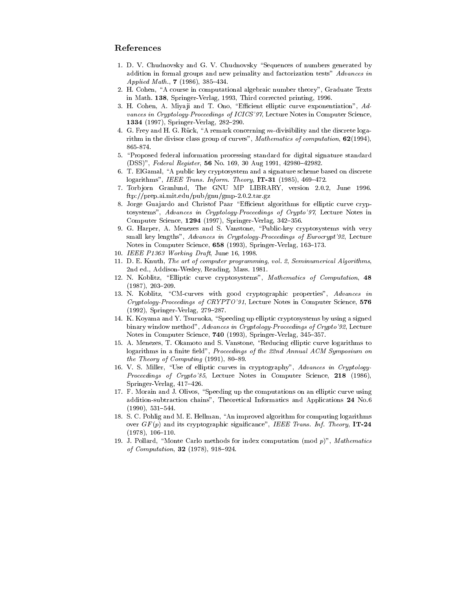### References

- 1. D. V. Chudnovsky and G. V. Chudnovsky "Sequences of numbers generated by addition in formal groups and new primality and factorization tests" Advances in Applied Math-
- H Cohen A course in computational algebraic number theory Graduate Texts in Math. 138, Springer-Verlag, 1993, Third corrected printing, 1996.
- 3. H. Cohen, A. Miyaji and T. Ono, "Efficient elliptic curve exponentiation", Advances in Cryptology-Proceedings of ICICS'97, Lecture Notes in Computer Science, SpringerVerlag ---
- 4. G. Frey and H. G. Rück, "A remark concerning  $m$ -divisibility and the discrete logarithm in the divisor class group of curves Mathematics of computations  $\mathbf{u}_i$ 865-874.
- Proposed federal information processing standard for digital signature standard  $\mathcal{N}$  and  $\mathcal{N}$  and  $\mathcal{N}$  and  $\mathcal{N}$  are a set of  $\mathcal{N}$  . The contract of  $\mathcal{N}$
- 6. T. ElGamal, "A public key cryptosystem and a signature scheme based on discrete logarithms IEEE Trans- Inform- Theory IT -
- Torb jorn Granlund The GNU MP LIBRARY version -- June ftpprepaimitedupubgnugmp--targz
- 8. Jorge Guajardo and Christof Paar "Efficient algorithms for elliptic curve cryptosystems", Advances in Cryptology-Proceedings of Crypto'97, Lecture Notes in compared of the springer and the springer of the springer of the space of the space of the space of the space of the space of the space of the space of the space of the space of the space of the space of the space of the s
- 9. G. Harper, A. Menezes and S. Vanstone, "Public key cryptosystems with very small key lengths", Advances in Cryptology-Proceedings of Eurocrypt'92, Lecture notes as a computer secondly a controlled parameter when  $\mathcal{N}$  and a control
- IEEE Provincial Draft June 2012, and the provincial Draft Draft Draft June 2012, and the provincial Draft Draft Draft Draft Draft Draft Draft Draft Draft Draft Draft Draft Draft Draft Draft Draft Draft Draft Draft Draft Dr
- d e knuth The art of computer programming voltages programming volnd ed Addison and Addison and Addison and Addison and Addison and Addison and Addison and Addison and Addison a
- N Koblitz Elliptic curve cryptosystems Mathematics of Computation --
- 13. N. Koblitz, "CM-curves with good cryptographic properties", Advances in  $Cryptology-Proceedings of \ CRPTO'91$ , Lecture Notes in Computer Science, 576 - SpringerVerlag --
- 14. K. Koyama and Y. Tsuruoka, "Speeding up elliptic cryptosystems by using a signed binary window method", Advances in Cryptology-Proceedings of Crypto'92, Lecture notes in Computer Science and American Science and Science and Science and Science and Science and Science and
- 15. A. Menezes, T. Okamoto and S. Vanstone, "Reducing elliptic curve logarithms to logarithms in a finite field", Proceedings of the  $22nd$  Annual ACM Symposium on the Theory of Computing (Theory) and Computer
- 16. V. S. Miller, "Use of elliptic curves in cryptography", Advances in Cryptology-*Proceedings of Crypto*  $85$ , Lecture Notes in Computer Science, 218 (1986), the contract of the contract of the contract of the contract of the contract of SpringerVerlag -
- 17. F. Morain and J. Olivos, "Speeding up the computations on an elliptic curve using additions a ditionsubtraction chains theoretical Informatics and Applications and Applications and Application
- 18. S. C. Pohlig and M. E. Hellman, "An improved algorithm for computing logarithms over GF p and its cryptographic signicance IEEE Trans- Inf- Theory IT , \_ . . . , . \_ . . \_ \_ \_ . .
- J Pollard Monte Carlo methods for index computation mod <sup>p</sup> Mathematics of Computation and Computation and Computation and Computation and Computation and Computation and Computation